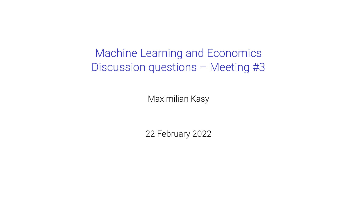Machine Learning and Economics Discussion questions – Meeting #3

Maximilian Kasy

22 February 2022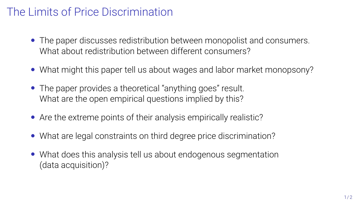## The Limits of Price Discrimination

- The paper discusses redistribution between monopolist and consumers. What about redistribution between different consumers?
- What might this paper tell us about wages and labor market monopsony?
- The paper provides a theoretical "anything goes" result. What are the open empirical questions implied by this?
- Are the extreme points of their analysis empirically realistic?
- What are legal constraints on third degree price discrimination?
- What does this analysis tell us about endogenous segmentation (data acquisition)?